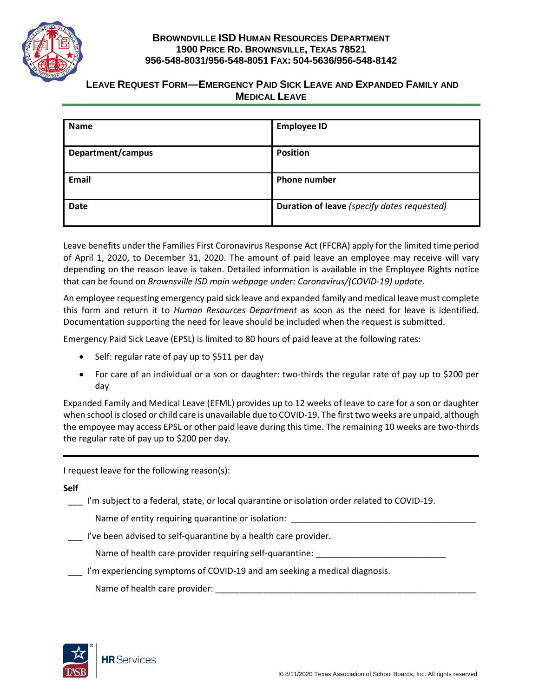

## **BROWNDVILLE ISD HUMAN RESOURCES DEPARTMENT 1900 PRICE RD. BROWNSVILLE, TEXAS 78521 956-548-8031/956-548-8051 FAX: 504-5636/956-548-8142**

## **LEAVE REQUEST FORM—EMERGENCY PAID SICK LEAVE AND EXPANDED FAMILY AND MEDICAL LEAVE**

| <b>Name</b>       | <b>Employee ID</b>                          |
|-------------------|---------------------------------------------|
| Department/campus | <b>Position</b>                             |
| Email             | <b>Phone number</b>                         |
| <b>Date</b>       | Duration of leave (specify dates requested) |

Leave benefits under the Families First Coronavirus Response Act (FFCRA) apply for the limited time period of April 1, 2020, to December 31, 2020. The amount of paid leave an employee may receive will vary depending on the reason leave is taken. Detailed information is available in the Employee Rights notice that can be found on *Brownsville ISD main webpage under: Coronavirus/(COVID-19) update*.

An employee requesting emergency paid sick leave and expanded family and medical leave must complete this form and return it to *Human Resources Department* as soon as the need for leave is identified. Documentation supporting the need for leave should be included when the request is submitted.

Emergency Paid Sick Leave (EPSL) is limited to 80 hours of paid leave at the following rates:

- Self: regular rate of pay up to \$511 per day
- For care of an individual or a son or daughter: two-thirds the regular rate of pay up to \$200 per day

Expanded Family and Medical Leave (EFML) provides up to 12 weeks of leave to care for a son or daughter when school is closed or child care is unavailable due to COVID-19. The first two weeks are unpaid, although the empoyee may access EPSL or other paid leave during this time. The remaining 10 weeks are two-thirds the regular rate of pay up to \$200 per day.

I request leave for the following reason(s):

**Self**

I'm subject to a federal, state, or local quarantine or isolation order related to COVID-19.

Name of entity requiring quarantine or isolation:

\_\_\_ I've been advised to self-quarantine by a health care provider.

Name of health care provider requiring self-quarantine:

\_\_\_ I'm experiencing symptoms of COVID-19 and am seeking a medical diagnosis.

Name of health care provider: \_\_\_\_\_\_\_\_\_\_\_\_\_\_\_\_\_\_\_\_\_\_\_\_\_\_\_\_\_\_\_\_\_\_\_\_\_\_\_\_\_\_\_\_\_\_\_\_\_\_\_\_\_\_